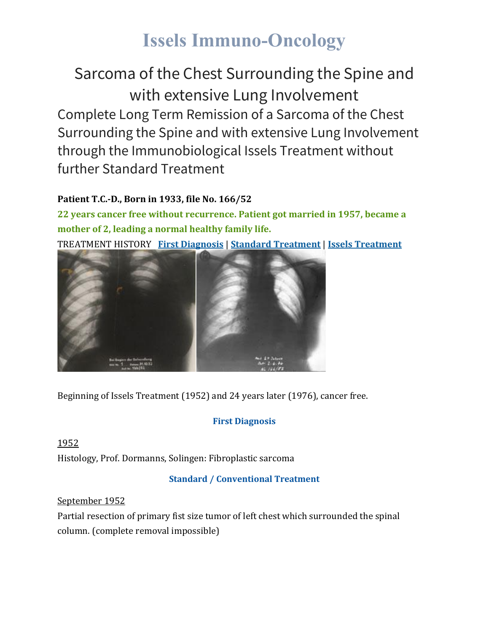# **Issels Immuno-Oncology**

Sarcoma of the Chest Surrounding the Spine and with extensive Lung Involvement Complete Long Term Remission of a Sarcoma of the Chest Surrounding the Spine and with extensive Lung Involvement through the Immunobiological Issels Treatment without further Standard Treatment

# **Patient T.C.-D., Born in 1933, file No. 166/52**

**22 years cancer free without recurrence. Patient got married in 1957, became a mother of 2, leading a normal healthy family life.** TREATMENT HISTORY **First [Diagnosis](https://issels.com/cancer-cases/lung-1-sarcoma-of-chest-with-extensive-lung-involvement/#First)** | **Standard [Treatment](https://issels.com/cancer-cases/lung-1-sarcoma-of-chest-with-extensive-lung-involvement/#Standard)** | **Issels [Treatment](https://issels.com/cancer-cases/lung-1-sarcoma-of-chest-with-extensive-lung-involvement/#Issels)**



Beginning of Issels Treatment (1952) and 24 years later (1976), cancer free.

# **First Diagnosis**

1952 Histology, Prof. Dormanns, Solingen: Fibroplastic sarcoma

# **Standard / Conventional Treatment**

## September 1952

Partial resection of primary fist size tumor of left chest which surrounded the spinal column. (complete removal impossible)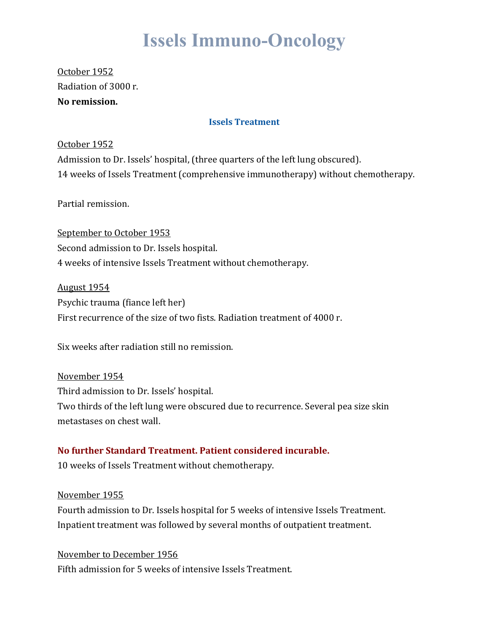# **Issels Immuno-Oncology**

October 1952 Radiation of 3000 r. **No remission.**

#### **Issels Treatment**

#### October 1952

Admission to Dr. Issels' hospital, (three quarters of the left lung obscured). 14 weeks of Issels Treatment (comprehensive immunotherapy) without chemotherapy.

Partial remission.

September to October 1953 Second admission to Dr. Issels hospital. 4 weeks of intensive Issels Treatment without chemotherapy.

August 1954 Psychic trauma (fiance left her) First recurrence of the size of two fists. Radiation treatment of 4000 r.

Six weeks after radiation still no remission.

November 1954 Third admission to Dr. Issels' hospital. Two thirds of the left lung were obscured due to recurrence. Several pea size skin metastases on chest wall.

### **No further Standard Treatment. Patient considered incurable.**

10 weeks of Issels Treatment without chemotherapy.

### November 1955

Fourth admission to Dr. Issels hospital for 5 weeks of intensive Issels Treatment. Inpatient treatment was followed by several months of outpatient treatment.

November to December 1956 Fifth admission for 5 weeks of intensive Issels Treatment.